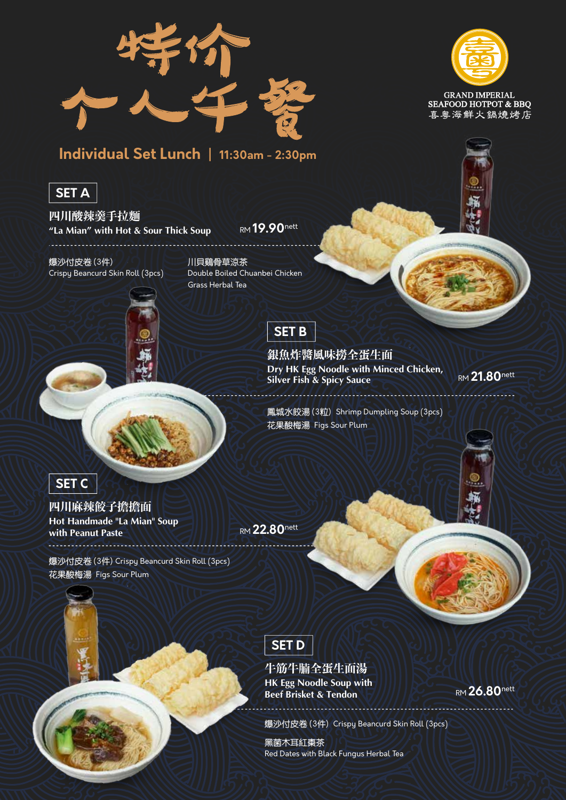



**GRAND IMPERIAL SEAFOOD HOTPOT & BBO** 喜粤海鮮火鍋燒烤店

## **Individual Set Lunch | 11:30am - 2:30pm**

## **SET A**

**四川酸辣羹手拉麵 "La Mian" with Hot & Sour Thick Soup** RM **19.90**nett

爆沙付皮卷 (3件) Crispy Beancurd Skin Roll (3pcs)



川貝鷄骨草涼茶 Double Boiled Chuanbei Chicken Grass Herbal Tea



**銀魚炸醬風味撈全蛋生面 Dry HK Egg Noodle with Minced Chicken, Silver Fish & Spicy Sauce**<br>Silver Fish & Spicy Sauce

鳳城水餃湯 (3粒) Shrimp Dumpling Soup (3pcs) 花果酸梅湯 Figs Sour Plum



. . . . . . . . . . . . . . . . . . .

**四川麻辣餃子擔擔面 Hot Handmade "La Mian" Soup with Peanut Paste** 

爆沙付皮卷 (3件) Crispy Beancurd Skin Roll (3pcs) 花果酸梅湯 Figs Sour Plum



**牛筋牛**腩**全蛋生面湯 HK Egg Noodle Soup with Beef Brisket & Tendon** 

爆沙付皮卷 (3件) Crispy Beancurd Skin Roll (3pcs)

黑菌木耳紅棗茶 Red Dates with Black Fungus Herbal Tea